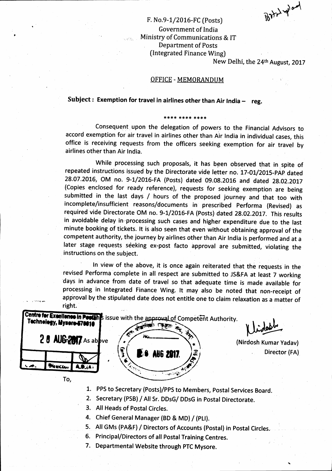$R_{\rm{h}}$ . لمس

j

## F. No.9-1/2016-FC (Posts) Government of India Ministry of Communications & IT Department of Posts (Integrated Finance Wing)

New Delhi, the 24th August, 2017

#### OFFICE - MEMORANDUM

## Subject : Exemption for travel in airlines other than Air India  $-$  reg.

#### \*\*\*\* \*\*\*\* \*\*\*\*

Consequent upon the delegation of powers to the Financial Advisors to accord exemption for air travel in airlines other than Air India in individual cases, this office is receiving requests from the officers seeking exemption for air travel by airlines other than Air lndia.

While processing such proposals, it has been observed that in spite of repeated instructions issued by the Directorate vide letter no. 17-01/2015-PAP dated 28.07.2016, OM no. 9-1/2016-FA (Posts) dated 09.08.2016 and dated 28.02.2017 (Copies enclosed for ready reference), requests for seeking exemption are being submitted in the last days / hours of the proposed journey and that too with incomplete/insufficient reasons/documents in prescribed performa (Revised) as required vide Directorate OM no. 9-1/2016-FA (Posts) dated 28.02.2017. This results in avoidable delay in processing such cases and higher expenditure due to the last minute booking of tickets. lt is also seen that even without obtaining approval of the competent authority, the journey by airlines other than Air India is performed and at <sup>a</sup> later stage requests seeking ex-post facto approval are submitted, violating the instructions on the subject.

In view of the above, it is once again reiterated that the requests in the revised Performa complete in all respect are submitted to JS&FA at least 7 working days in advance from date of travel so that adequate time is made available for processing in Integrated Finance Wing. lt may also be noted that non-receipt of approval by the stipulated date does not entitle one to claim relaxation as a matter of right.



- 1. PPS to secretary {Posts)/pps to Members, postal services Board.
- 2. Secretary (PSB) / All Sr. DDsG/ DDsG in postal Directorate.
- 3. All Heads of Postal Circles.
- 4. Chief General Manager (BD & MD) / (PLI).
- 5. All GMs (PA&F) / Directors of Accounts (Postal) in Postal Circles.
- 6. Principal/Directors of all Postal Training Centres.
- 7. Departmental Website through pTC Mysore.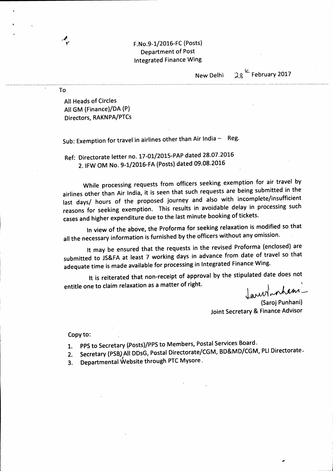### F. No. 9-1/2016-FC (Posts) Department of Post Integrated Finance Wing

New Delhi

 $28^{k}$  February 2017

All Heads of Circles AIIGM (Finance)/DA (P) Directors, RAKNPA/PTCs

./6,'

To

Sub: Exemption for travel in airlines other than Air India  $-$  Reg.

Ref: Directorate letter no. 17-01/2015-PAP dated 28.07.2016 2. IFW OM No. 9-1/2016-FA (Posts) dated 09.08.2016

while processing requests from officers seeking exemption for air travel by airlines other than Air India, it is seen that such requests are being submitted in the last days/ hours of the proposed journey and also with incomplete/insufficient reasons for seeking exemption. This results in avoidable delay in processing such cases and higher expenditure due to the last minute booking of tickets.

In view of the above, the Proforma for seeking relaxation is modified so that all the necessary information is furnished by the officers without any omission.

It may be ensured that the requests in the revised Proforma (enclosed) are submitted to JS&FA at least 7 working days in advance from date of travel so that adequate time is made available for processing in Integrated Finance Wing.

It is reiterated that non-receipt of approval by the stipulated date does not entitle one to claim relaxation as a matter of right. '

 $\int_{0}^{1}$  when Jarwinshem.

Joint Secretary & Finance Advisor (Saroj Punhani)

Copy to:

- 1. PPS to Secretary (Posts)/PPS to Members, Postal Services Board.<br>COMPRAND (COMP
- 2. Secretary (PSB) All DDsG, Postal Directorate/CGM, BD&MD/CGM, PLI Directorate -
- 3. Departmental (Vebsite through PTC Mysore,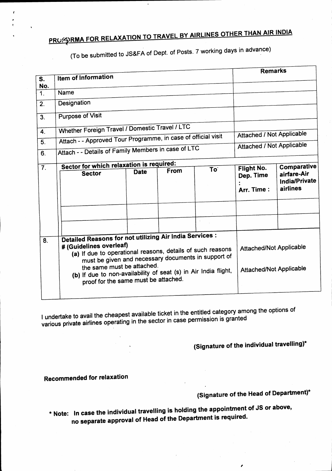# PROSSIRMA FOR RELAXATION TO TRAVEL BY AIRLINES OTHER THAN AIR INDIA

(To be submitted to JS&FA of Dept. of posts. 7 working days in advance)

|                           |                                                                                                                                                                                                                                                                                                                                                  |                                          |      |                 | <b>Remarks</b>                                                   |                                                         |
|---------------------------|--------------------------------------------------------------------------------------------------------------------------------------------------------------------------------------------------------------------------------------------------------------------------------------------------------------------------------------------------|------------------------------------------|------|-----------------|------------------------------------------------------------------|---------------------------------------------------------|
| $\overline{\mathbf{s}}$ . | Item of Information                                                                                                                                                                                                                                                                                                                              |                                          |      |                 |                                                                  |                                                         |
| No.<br>1.                 | Name                                                                                                                                                                                                                                                                                                                                             |                                          |      |                 |                                                                  |                                                         |
| 2.                        | Designation                                                                                                                                                                                                                                                                                                                                      |                                          |      |                 |                                                                  |                                                         |
| 3.                        | Purpose of Visit                                                                                                                                                                                                                                                                                                                                 |                                          |      |                 |                                                                  |                                                         |
|                           | Whether Foreign Travel / Domestic Travel / LTC                                                                                                                                                                                                                                                                                                   |                                          |      |                 |                                                                  |                                                         |
| $\mathbf{4}$ .            | Attach - - Approved Tour Programme, in case of official visit                                                                                                                                                                                                                                                                                    |                                          |      |                 | Attached / Not Applicable                                        |                                                         |
| $\overline{5}$ .          |                                                                                                                                                                                                                                                                                                                                                  |                                          |      |                 | <b>Attached / Not Applicable</b>                                 |                                                         |
| 6.                        | Attach - - Details of Family Members in case of LTC                                                                                                                                                                                                                                                                                              |                                          |      |                 |                                                                  |                                                         |
|                           |                                                                                                                                                                                                                                                                                                                                                  | Sector for which relaxation is required: |      |                 |                                                                  |                                                         |
| $\overline{7}$ .          | <b>Sector</b>                                                                                                                                                                                                                                                                                                                                    | <b>Date</b>                              | From | To <sup>-</sup> | Flight No.<br>Dep. Time<br>Arr. Time:                            | Comparative<br>airfare-Air<br>India/Private<br>airlines |
|                           |                                                                                                                                                                                                                                                                                                                                                  |                                          |      |                 |                                                                  |                                                         |
|                           |                                                                                                                                                                                                                                                                                                                                                  |                                          |      |                 |                                                                  |                                                         |
| 8.                        | Detailed Reasons for not utilizing Air India Services :<br># (Guidelines overleaf)<br>(a) If due to operational reasons, details of such reasons<br>must be given and necessary documents in support of<br>the same must be attached.<br>(b) If due to non-availability of seat (s) in Air India flight,<br>proof for the same must be attached. |                                          |      |                 | <b>Attached/Not Applicable</b><br><b>Attached/Not Applicable</b> |                                                         |

I undertake to avail the cheapest available ticket in the entitled category among the options of various private airlines operating in the sector in case permission is granted

(Signature of the individual travelling)\*

### Recommended for relaxation

r , t I

# (Signature of the Head of Department)\*

 $\mathbf{r}$ 

I

\* Note: In case the individual travelling is holding the appointment of JS or above, no separate approval of Head of the Department is required.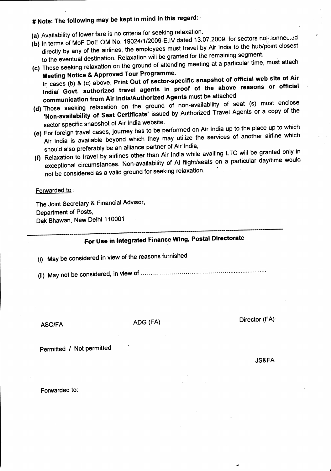# # Note: The following may be kept in mind in this regard:

- (a) Availability of lower fare is no criteria for seeking relaxation.
- (b) In terms of MoF DoE OM No. 19024/1/2009-E.IV dated 13.07.2009, for sectors no $\frac{1}{2}$ sonneu.ed directly by any of the airlines, the employees must travel by Air India to the hub/point closest to the eventual destination. Relaxation will be granted for the remaining segment.
- (c) Those seeking re|axation on the ground of attending meeting at a particular time, must attach Meeting Notice & Approved Tour Programme.

In cases (b) & (c) above, Print Out of sector-specific snapshot of official web site of Air lndia/ Govt. authorized travel agents in proof of the above reasons or official communication from Air India/Authorized Agents must be attached.

- (d) Those seeking relaxation on the ground of non-availability of seat (s) must enclose 'Non-availability of Seat Certificate' issued by Authorized Travel Agents or a copy of the sector specific snapshot of Air India website.
- (e) For foreign travel cases, journey has to be performed on Air India up to the place up to which Air India is available beyond which they may utilize the services of another airline which should also preferably be an alliance partner of Air India,
- (f) Relaxation to travel by airlines other than Air India while availing LTC will be granted only in exceptional circumstances. Non-availability of AI flight/seats on a particular day/time would not be considered as a valid ground for seeking relaxation.

#### Forwarded to :

The Joint Secretary & Financial Advisor, Department of Posts, Dak Bhawan, New Delhi 110001

# For Use in Integrated Finance Wing, Postal Directorate

- (i) May be considered in view of the reasons furnished
- (ii) May not be considered, in view of

ASO/FA

ADG (FA)

Director (FA)

 $\blacksquare$ 

 $-$ -t-r- $-$ 

Permitted / Not permitted

JS&FA

Forwarded to: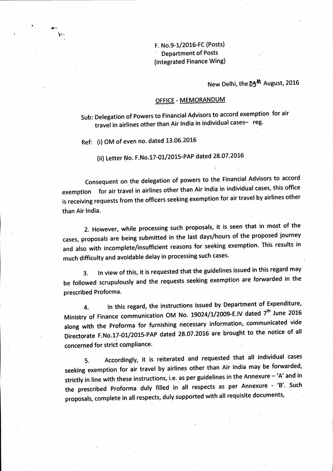# F. No.9-1/2016-FC (Posts)<br>Department of Posts (lntegrated Finance Wing)

# New Delhi, the 09<sup>th</sup> August, 2016

### OFFICE - MEMORANDUM

Sub: Delegation of Powers to Financial Advisors to accord exemption for air travel in airlines other than Air India in individual cases- reg.

Ref: (i) OM of even no. dated 13.06.2016

l\*\*

(ii) Letter No. F.No.17-01/2015-PAP dated 28.07.2016

consequent on the delegation of powers to the Financial Advisors to accord exemption for air travel in airlines other than Air India in individual cases, this office is receiving requests from the officers seeking exemption for air travel by airlines other than Air India.

2. However, while processing such proposals, it is seen that in most of the cases, proposals are being submitted in the last days/hours of the proposed journey and also with incomplete/insufficient reasons for seeking exemption. This results in much difficulty and avoidable delay in processing such cases.

3. In view of this, it is requested that the guidelines issued in this regard may be followed scrupulously and the requests seeking exemption are forwarded in the prescribed Proforma.

4. In this regard, the instructions issued by Department of Expenditure, Ministry of Finance communication OM No. 19024/1/2009-E.IV dated 7<sup>th</sup> June 2016 along with the Proforma for furnishing necessary information, communicated vide Directorate F.No.17-01/2015-PAP dated 28.07.2016 are brought to the notice of all concerned for strict compliance.

5. Accordingly, it is reiterated and requested that all individual cases seeking exemption for air travel by airlines other than Air India may be forwarded, strictly in line with these instructions, i.e. as per guidelines in the Annexure - 'A' and in the prescribed Proforma duly filled in all respects as per Annexure - 'B'. Such proposals, complete in all respects, duly supported with all requisite documents,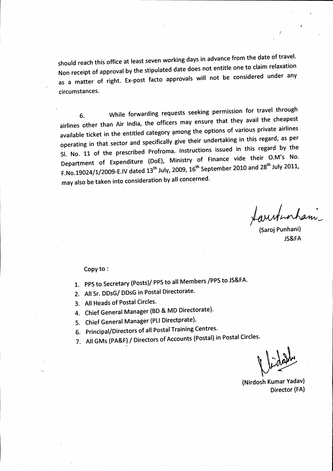should reach this office at least seven working days in advance from the date of travel. should reach the stipulated date does not entitle one to claim relaxation<br>Non receipt of approval by the stipulated date does not entitle one to claim relaxation Notified by approvancy in the considered under any as a matter of right. Ex-post facto approvals will not be considered under any circumstances.

6. While forwarding requests seeking permission for travel through airlines other than Air India, the officers may ensure that they avail the cheapest available ticket in the entitled category among the options of various private airlines operating in that sector and specifically give their undertaking in this regard, as per 51. No. 11 of the prescribed Profroma. Instructions issued in this regard by the Department of Expenditure (DoE), Ministry of Finance vide their O.M's No. F.No.19024/1/2009-E.IV dated  $13^{th}$  July, 2009,  $16^{th}$  September 2010 and 28<sup>th</sup> July 2011, may also be taken into consideration by all concerned.

(Saroj Punhani)

JS&FA

#### Copy to:

- 1. PPS to Secretary (Posts)/ PPS to all Members /PPS to JS&FA'
- 2. All Sr. DDsG/ DDsG in Postal Directorate.
- 3. All Heads of Postal Circles.
- 4. Chief General Manager (BD & MD Directorate).
- 5. Chief General Manager (PLI Directprate).
- 6. Principal/Directors of all Postal Training Centres.
- 7. All GMs (PA&F) / Directors of Accounts (Postal) in Postal Circles.

Vidate

(Nirdosh Kumar Yadavl Director (FA)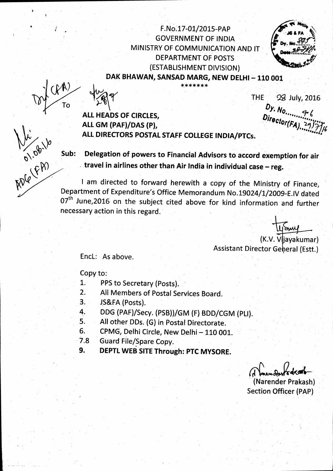F.No.17-01/2015-PAP **GOVERNMENT OF INDIA** MINISTRY OF COMMUNICATION AND IT DEPARTMENT OF POSTS (ESTABLISHMENT DIVISION) DAK BHAWAN, SANSAD MARG, NEW DELHI - 110 001

\*\*\*\*\*\*\*



Ade (FA)

**THE** 28 July, 2016 

**ALL HEADS OF CIRCLES,** ALL GM (PAF)/DAS (P), ALL DIRECTORS POSTAL STAFF COLLEGE INDIA/PTCs.

Delegation of powers to Financial Advisors to accord exemption for air Sub: travel in airlines other than Air India in individual case - reg.

I am directed to forward herewith a copy of the Ministry of Finance, Department of Expenditure's Office Memorandum No.19024/1/2009-E.IV dated 07<sup>th</sup> June, 2016 on the subject cited above for kind information and further necessary action in this regard.

Usim (K.V. Vljayakumar) **Assistant Director General (Estt.)** 

Encl: As above.

Copy to:

- PPS to Secretary (Posts).  $1.$
- All Members of Postal Services Board.  $2.$
- $3<sub>1</sub>$ JS&FA (Posts).
- DDG (PAF)/Secy. (PSB))/GM (F) BDD/CGM (PLI). 4.
- All other DDs. (G) in Postal Directorate. 5.
- CPMG, Delhi Circle, New Delhi 110 001. 6.
- Guard File/Spare Copy.  $7.8$
- $9.$ DEPTL WEB SITE Through: PTC MYSORE.

(Narender Prakash) **Section Officer (PAP)**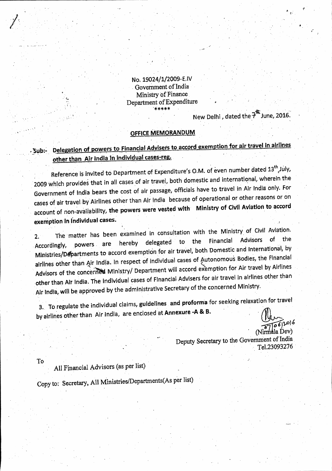No. 19024/1/2009-E.IV Government of India Ministry of Finance Department of Expenditure

New Delhi, dated the 7<sup>th</sup> June, 2016.

#### OFFICE MEMORANDUM

### Delegation of powers to Financial Advisers to accord exemption for air travel in airlines - Sub:other than Air India in individual cases-reg.

Reference is invited to Department of Expenditure's O.M. of even number dated 13<sup>th</sup> July, 2009 which provides that in all cases of air travel, both domestic and international, wherein the Government of India bears the cost of air passage, officials have to travel in Air India only. For cases of air travel by Airlines other than Air India because of operational or other reasons or on account of non-availability, the powers were vested with Ministry of Civil Aviation to accord exemption in individual cases.

The matter has been examined in consultation with the Ministry of Civil Aviation.  $2.$ **Advisors** of the Financial the delegated to hereby powers are Accordingly, Ministries/Departments to accord exemption for air travel, both Domestic and International, by airlines other than Air India. In respect of individual cases of Autonomous Bodies, the Financial Advisors of the concerned Ministry/ Department will accord exemption for Air travel by Airlines other than Air India. The individual cases of Financial Advisers for air travel in airlines other than Air India, will be approved by the administrative Secretary of the concerned Ministry.

3. To regulate the individual claims, guidelines and proforma for seeking relaxation for travel by airlines other than Air India, are enclosed at Annexure -A & B.

> (Nirmala Dev) Deputy Secretary to the Government of India Tel.23093276

To

All Financial Advisors (as per list)

Copy to: Secretary, All Ministries/Departments(As per list)